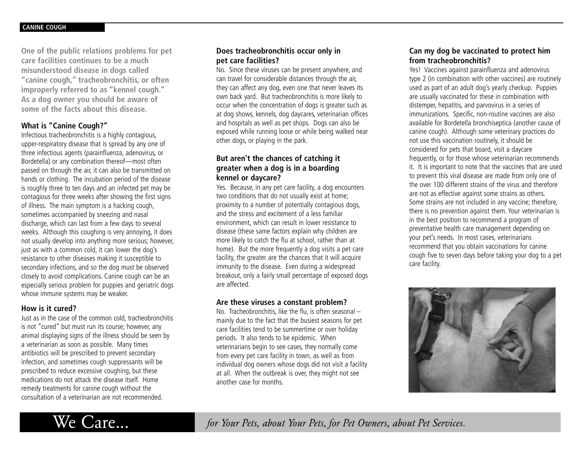**One of the public relations problems for pet care facilities continues to be a much misunderstood disease in dogs called "canine cough," tracheobronchitis, or often improperly referred to as "kennel cough." As a dog owner you should be aware of some of the facts about this disease.**

#### **What is "Canine Cough?"**

Infectious tracheobronchitis is a highly contagious, upper-respiratory disease that is spread by any one of three infectious agents (parainfluenza, adenovirus, or Bordetella) or any combination thereof—most often passed on through the air, it can also be transmitted on hands or clothing. The incubation period of the disease is roughly three to ten days and an infected pet may be contagious for three weeks after showing the first signs of illness. The main symptom is a hacking cough, sometimes accompanied by sneezing and nasal discharge, which can last from a few days to several weeks. Although this coughing is very annoying, it does not usually develop into anything more serious; however, just as with a common cold, it can lower the dog's resistance to other diseases making it susceptible to secondary infections, and so the dog must be observed closely to avoid complications. Canine cough can be an especially serious problem for puppies and geriatric dogs whose immune systems may be weaker.

### **How is it cured?**

Just as in the case of the common cold, tracheobronchitis is not "cured" but must run its course; however, any animal displaying signs of the illness should be seen by a veterinarian as soon as possible. Many times antibiotics will be prescribed to prevent secondary infection, and sometimes cough suppressants will be prescribed to reduce excessive coughing, but these medications do not attack the disease itself. Home remedy treatments for canine cough without the consultation of a veterinarian are not recommended.

## **Does tracheobronchitis occur only in pet care facilities?**

No. Since these viruses can be present anywhere, and can travel for considerable distances through the air, they can affect any dog, even one that never leaves its own back yard. But tracheobronchitis is more likely to occur when the concentration of dogs is greater such as at dog shows, kennels, dog daycares, veterinarian offices and hospitals as well as pet shops. Dogs can also be exposed while running loose or while being walked near other dogs, or playing in the park.

## **But aren't the chances of catching it greater when a dog is in a boarding kennel or daycare?**

Yes. Because, in any pet care facility, a dog encounters two conditions that do not usually exist at home; proximity to a number of potentially contagious dogs, and the stress and excitement of a less familiar environment, which can result in lower resistance to disease (these same factors explain why children are more likely to catch the flu at school, rather than at home). But the more frequently a dog visits a pet care facility, the greater are the chances that it will acquire immunity to the disease. Even during a widespread breakout, only a fairly small percentage of exposed dogs are affected.

#### **Are these viruses a constant problem?**

No. Tracheobronchitis, like the flu, is often seasonal – mainly due to the fact that the busiest seasons for pet care facilities tend to be summertime or over holiday periods. It also tends to be epidemic. When veterinarians begin to see cases, they normally come from every pet care facility in town, as well as from individual dog owners whose dogs did not visit a facility at all. When the outbreak is over, they might not see another case for months.

# **Can my dog be vaccinated to protect him from tracheobronchitis?**

Yes! Vaccines against parainfluenza and adenovirus type 2 (in combination with other vaccines) are routinely used as part of an adult dog's yearly checkup. Puppies are usually vaccinated for these in combination with distemper, hepatitis, and parvovirus in a series of immunizations. Specific, non-routine vaccines are also available for Bordetella bronchiseptica (another cause of canine cough). Although some veterinary practices do not use this vaccination routinely, it should be considered for pets that board, visit a daycare frequently, or for those whose veterinarian recommends it. It is important to note that the vaccines that are used to prevent this viral disease are made from only one of the over 100 different strains of the virus and therefore are not as effective against some strains as others. Some strains are not included in any vaccine; therefore, there is no prevention against them. Your veterinarian is in the best position to recommend a program of preventative health care management depending on your pet's needs. In most cases, veterinarians recommend that you obtain vaccinations for canine cough five to seven days before taking your dog to a pet care facility.





We Care... *for Your Pets, about Your Pets, for Pet Owners, about Pet Services.*